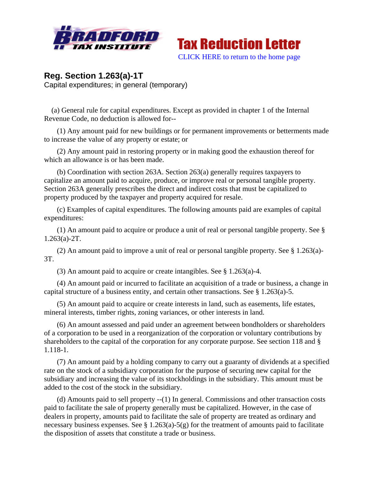



## **Reg. Section 1.263(a)-1T**  Capital expenditures; in general (temporary)

 (a) General rule for capital expenditures. Except as provided in chapter 1 of the Internal Revenue Code, no deduction is allowed for--

 (1) Any amount paid for new buildings or for permanent improvements or betterments made to increase the value of any property or estate; or

 (2) Any amount paid in restoring property or in making good the exhaustion thereof for which an allowance is or has been made.

 (b) Coordination with section 263A. Section 263(a) generally requires taxpayers to capitalize an amount paid to acquire, produce, or improve real or personal tangible property. Section 263A generally prescribes the direct and indirect costs that must be capitalized to property produced by the taxpayer and property acquired for resale.

 (c) Examples of capital expenditures. The following amounts paid are examples of capital expenditures:

 (1) An amount paid to acquire or produce a unit of real or personal tangible property. See § 1.263(a)-2T.

 (2) An amount paid to improve a unit of real or personal tangible property. See § 1.263(a)- 3T.

(3) An amount paid to acquire or create intangibles. See § 1.263(a)-4.

 (4) An amount paid or incurred to facilitate an acquisition of a trade or business, a change in capital structure of a business entity, and certain other transactions. See § 1.263(a)-5.

 (5) An amount paid to acquire or create interests in land, such as easements, life estates, mineral interests, timber rights, zoning variances, or other interests in land.

 (6) An amount assessed and paid under an agreement between bondholders or shareholders of a corporation to be used in a reorganization of the corporation or voluntary contributions by shareholders to the capital of the corporation for any corporate purpose. See section 118 and § 1.118-1.

 (7) An amount paid by a holding company to carry out a guaranty of dividends at a specified rate on the stock of a subsidiary corporation for the purpose of securing new capital for the subsidiary and increasing the value of its stockholdings in the subsidiary. This amount must be added to the cost of the stock in the subsidiary.

 (d) Amounts paid to sell property --(1) In general. Commissions and other transaction costs paid to facilitate the sale of property generally must be capitalized. However, in the case of dealers in property, amounts paid to facilitate the sale of property are treated as ordinary and necessary business expenses. See  $\S 1.263(a)$ -5(g) for the treatment of amounts paid to facilitate the disposition of assets that constitute a trade or business.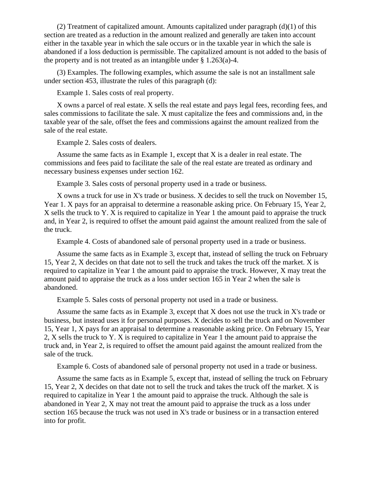(2) Treatment of capitalized amount. Amounts capitalized under paragraph  $(d)(1)$  of this section are treated as a reduction in the amount realized and generally are taken into account either in the taxable year in which the sale occurs or in the taxable year in which the sale is abandoned if a loss deduction is permissible. The capitalized amount is not added to the basis of the property and is not treated as an intangible under § 1.263(a)-4.

 (3) Examples. The following examples, which assume the sale is not an installment sale under section 453, illustrate the rules of this paragraph (d):

Example 1. Sales costs of real property.

 X owns a parcel of real estate. X sells the real estate and pays legal fees, recording fees, and sales commissions to facilitate the sale. X must capitalize the fees and commissions and, in the taxable year of the sale, offset the fees and commissions against the amount realized from the sale of the real estate.

Example 2. Sales costs of dealers.

 Assume the same facts as in Example 1, except that X is a dealer in real estate. The commissions and fees paid to facilitate the sale of the real estate are treated as ordinary and necessary business expenses under section 162.

Example 3. Sales costs of personal property used in a trade or business.

 X owns a truck for use in X's trade or business. X decides to sell the truck on November 15, Year 1. X pays for an appraisal to determine a reasonable asking price. On February 15, Year 2, X sells the truck to Y. X is required to capitalize in Year 1 the amount paid to appraise the truck and, in Year 2, is required to offset the amount paid against the amount realized from the sale of the truck.

Example 4. Costs of abandoned sale of personal property used in a trade or business.

 Assume the same facts as in Example 3, except that, instead of selling the truck on February 15, Year 2, X decides on that date not to sell the truck and takes the truck off the market. X is required to capitalize in Year 1 the amount paid to appraise the truck. However, X may treat the amount paid to appraise the truck as a loss under section 165 in Year 2 when the sale is abandoned.

Example 5. Sales costs of personal property not used in a trade or business.

 Assume the same facts as in Example 3, except that X does not use the truck in X's trade or business, but instead uses it for personal purposes. X decides to sell the truck and on November 15, Year 1, X pays for an appraisal to determine a reasonable asking price. On February 15, Year 2, X sells the truck to Y. X is required to capitalize in Year 1 the amount paid to appraise the truck and, in Year 2, is required to offset the amount paid against the amount realized from the sale of the truck.

Example 6. Costs of abandoned sale of personal property not used in a trade or business.

 Assume the same facts as in Example 5, except that, instead of selling the truck on February 15, Year 2, X decides on that date not to sell the truck and takes the truck off the market. X is required to capitalize in Year 1 the amount paid to appraise the truck. Although the sale is abandoned in Year 2, X may not treat the amount paid to appraise the truck as a loss under section 165 because the truck was not used in X's trade or business or in a transaction entered into for profit.